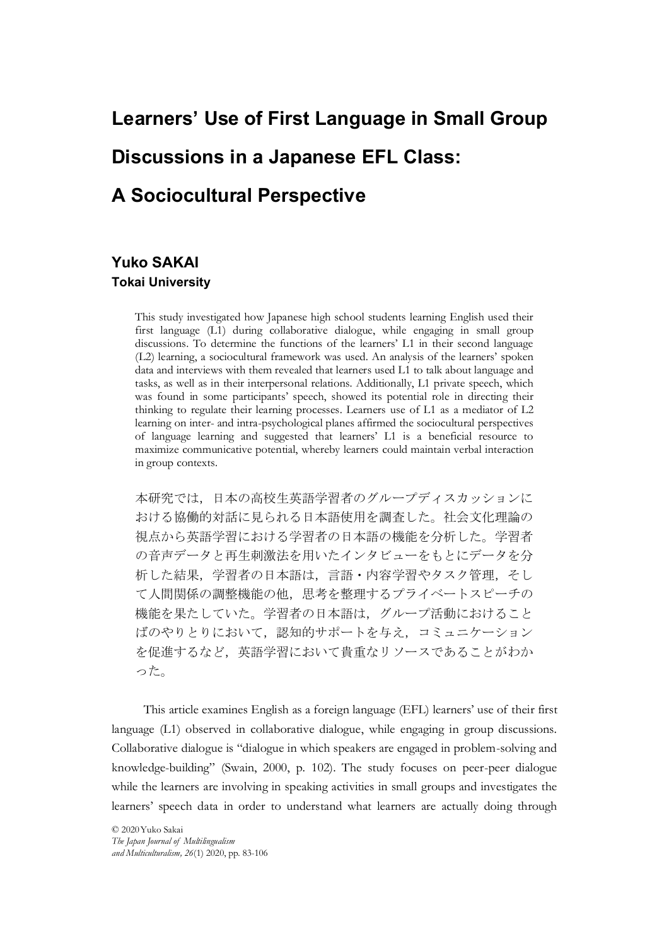## Learners' Use of First Language in Small Group Discussions in a Japanese EFL Class: A Sociocultural Perspective

#### Yuko SAKAI Tokai University

This study investigated how Japanese high school students learning English used their first language (L1) during collaborative dialogue, while engaging in small group discussions. To determine the functions of the learners' L1 in their second language (L2) learning, a sociocultural framework was used. An analysis of the learners' spoken data and interviews with them revealed that learners used L1 to talk about language and tasks, as well as in their interpersonal relations. Additionally, L1 private speech, which was found in some participants' speech, showed its potential role in directing their thinking to regulate their learning processes. Learners use of L1 as a mediator of L2 learning on inter- and intra-psychological planes affirmed the sociocultural perspectives of language learning and suggested that learners' L1 is a beneficial resource to maximize communicative potential, whereby learners could maintain verbal interaction in group contexts.

本研究では,日本の高校生英語学習者のグループディスカッションに おける協働的対話に見られる日本語使用を調査した。社会文化理論の 視点から英語学習における学習者の日本語の機能を分析した。学習者 の音声データと再生刺激法を用いたインタビューをもとにデータを分 析した結果,学習者の日本語は,言語・内容学習やタスク管理,そし て人間関係の調整機能の他,思考を整理するプライベートスピーチの 機能を果たしていた。学習者の日本語は,グループ活動におけること ばのやりとりにおいて,認知的サポートを与え,コミュニケーション を促進するなど,英語学習において貴重なリソースであることがわか った。

析した結果, 学習者の日本語は, 言語・内容学習やタスク管理, そして人間関係の調整機能の他, 思考を整理するプライベートスピーチの<br>機能を果たしていた。学習者の日本語は, グループ活動におけること<br>ばのやりとりにおいて, 認知的サポートを与え, コミュニケーション<br>を促進するなど, 英語学習において貴重なリソースであることがわか<br>った。<br>This article examines English as a forcign langu This article examines English as a foreign language (EFL) learners' use of their first language (L1) observed in collaborative dialogue, while engaging in group discussions. Collaborative dialogue is "dialogue in which speakers are engaged in problem-solving and knowledge-building" (Swain, 2000, p. 102). The study focuses on peer-peer dialogue while the learners are involving in speaking activities in small groups and investigates the learners' speech data in order to understand what learners are actually doing through

© 2020Yuko Sakai and Multiculturalism, 26(1) 2020, pp. 83-106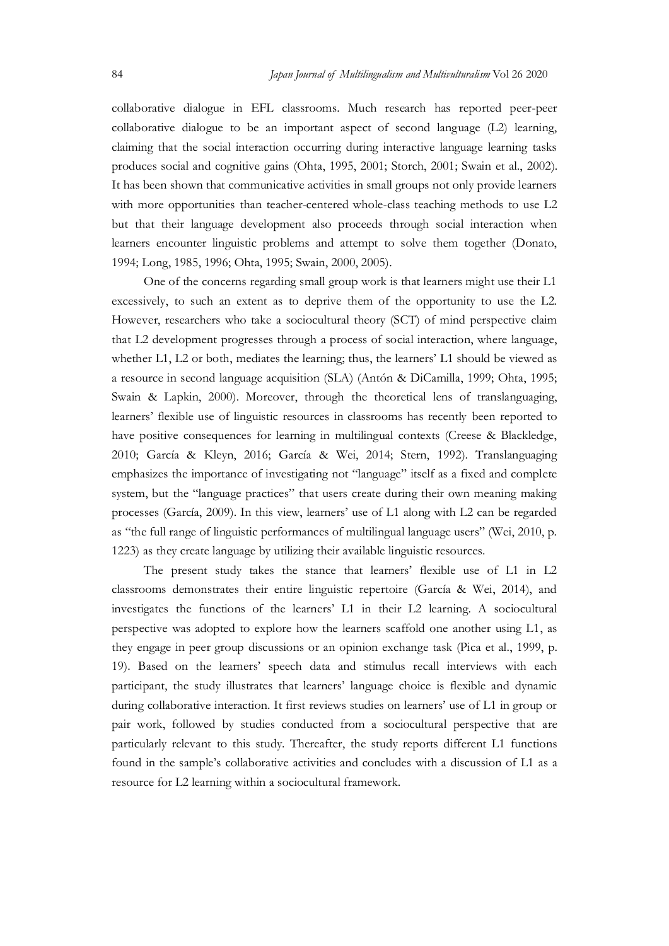S4<br>Japan Journal of Multilingualism and Multivulturalism Vol 26 2020<br>collaborative dialogue in EFL classrooms. Much research has reported peer-peer<br>collaborative dialogue to be an important aspect of second language (L2) l collaborative dialogue in EFL classrooms. Much research has reported peer-peer collaborative dialogue to be an important aspect of second language (L2) learning, claiming that the social interaction occurring during interactive language learning tasks produces social and cognitive gains (Ohta, 1995, 2001; Storch, 2001; Swain et al., 2002). It has been shown that communicative activities in small groups not only provide learners with more opportunities than teacher-centered whole-class teaching methods to use L2 but that their language development also proceeds through social interaction when learners encounter linguistic problems and attempt to solve them together (Donato, 1994; Long, 1985, 1996; Ohta, 1995; Swain, 2000, 2005).

One of the concerns regarding small group work is that learners might use their L1 excessively, to such an extent as to deprive them of the opportunity to use the L2. However, researchers who take a sociocultural theory (SCT) of mind perspective claim that L2 development progresses through a process of social interaction, where language, whether L1, L2 or both, mediates the learning; thus, the learners' L1 should be viewed as a resource in second language acquisition (SLA) (Antón & DiCamilla, 1999; Ohta, 1995; Swain & Lapkin, 2000). Moreover, through the theoretical lens of translanguaging, learners' flexible use of linguistic resources in classrooms has recently been reported to have positive consequences for learning in multilingual contexts (Creese & Blackledge, 2010; García & Kleyn, 2016; García & Wei, 2014; Stern, 1992). Translanguaging emphasizes the importance of investigating not "language" itself as a fixed and complete system, but the "language practices" that users create during their own meaning making processes (García, 2009). In this view, learners' use of L1 along with L2 can be regarded as "the full range of linguistic performances of multilingual language users" (Wei, 2010, p. 1223) as they create language by utilizing their available linguistic resources.

The present study takes the stance that learners' flexible use of L1 in L2 classrooms demonstrates their entire linguistic repertoire (García & Wei, 2014), and investigates the functions of the learners' L1 in their L2 learning. A sociocultural perspective was adopted to explore how the learners scaffold one another using L1, as they engage in peer group discussions or an opinion exchange task (Pica et al., 1999, p. 19). Based on the learners' speech data and stimulus recall interviews with each participant, the study illustrates that learners' language choice is flexible and dynamic during collaborative interaction. It first reviews studies on learners' use of L1 in group or pair work, followed by studies conducted from a sociocultural perspective that are particularly relevant to this study. Thereafter, the study reports different L1 functions found in the sample's collaborative activities and concludes with a discussion of L1 as a resource for L2 learning within a sociocultural framework.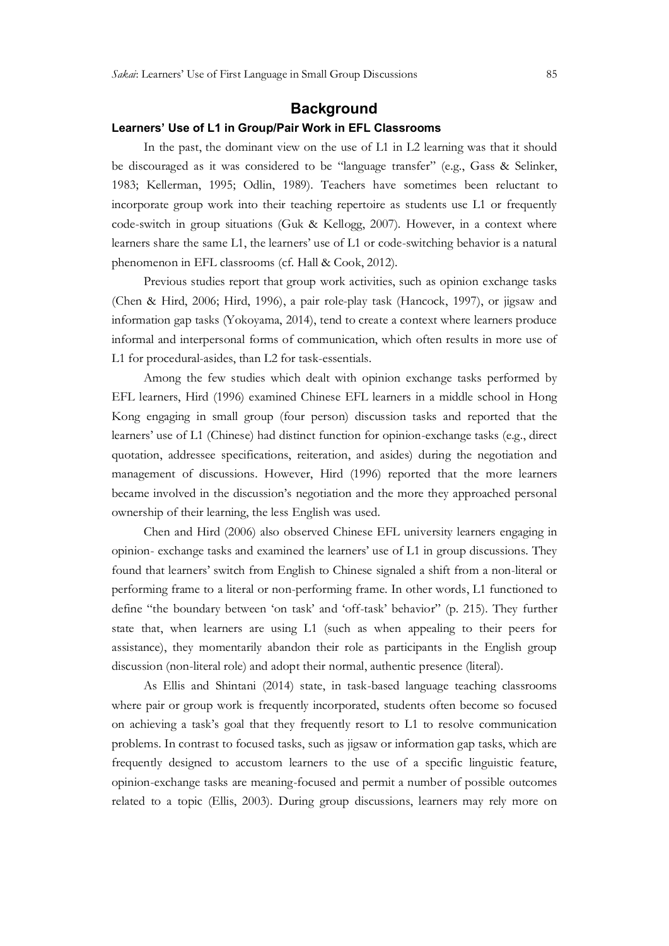#### **Background**

#### Learners' Use of L1 in Group/Pair Work in EFL Classrooms

In the past, the dominant view on the use of L1 in L2 learning was that it should be discouraged as it was considered to be "language transfer" (e.g., Gass & Selinker, 1983; Kellerman, 1995; Odlin, 1989). Teachers have sometimes been reluctant to incorporate group work into their teaching repertoire as students use L1 or frequently code-switch in group situations (Guk & Kellogg, 2007). However, in a context where learners share the same L1, the learners' use of L1 or code-switching behavior is a natural phenomenon in EFL classrooms (cf. Hall & Cook, 2012).

Previous studies report that group work activities, such as opinion exchange tasks (Chen & Hird, 2006; Hird, 1996), a pair role-play task (Hancock, 1997), or jigsaw and information gap tasks (Yokoyama, 2014), tend to create a context where learners produce informal and interpersonal forms of communication, which often results in more use of L1 for procedural-asides, than L2 for task-essentials.

Among the few studies which dealt with opinion exchange tasks performed by EFL learners, Hird (1996) examined Chinese EFL learners in a middle school in Hong Kong engaging in small group (four person) discussion tasks and reported that the learners' use of L1 (Chinese) had distinct function for opinion-exchange tasks (e.g., direct quotation, addressee specifications, reiteration, and asides) during the negotiation and management of discussions. However, Hird (1996) reported that the more learners became involved in the discussion's negotiation and the more they approached personal ownership of their learning, the less English was used.

Chen and Hird (2006) also observed Chinese EFL university learners engaging in opinion- exchange tasks and examined the learners' use of L1 in group discussions. They found that learners' switch from English to Chinese signaled a shift from a non-literal or performing frame to a literal or non-performing frame. In other words, L1 functioned to define "the boundary between 'on task' and 'off-task' behavior" (p. 215). They further state that, when learners are using L1 (such as when appealing to their peers for assistance), they momentarily abandon their role as participants in the English group discussion (non-literal role) and adopt their normal, authentic presence (literal).

As Ellis and Shintani (2014) state, in task-based language teaching classrooms where pair or group work is frequently incorporated, students often become so focused on achieving a task's goal that they frequently resort to L1 to resolve communication problems. In contrast to focused tasks, such as jigsaw or information gap tasks, which are frequently designed to accustom learners to the use of a specific linguistic feature, opinion-exchange tasks are meaning-focused and permit a number of possible outcomes related to a topic (Ellis, 2003). During group discussions, learners may rely more on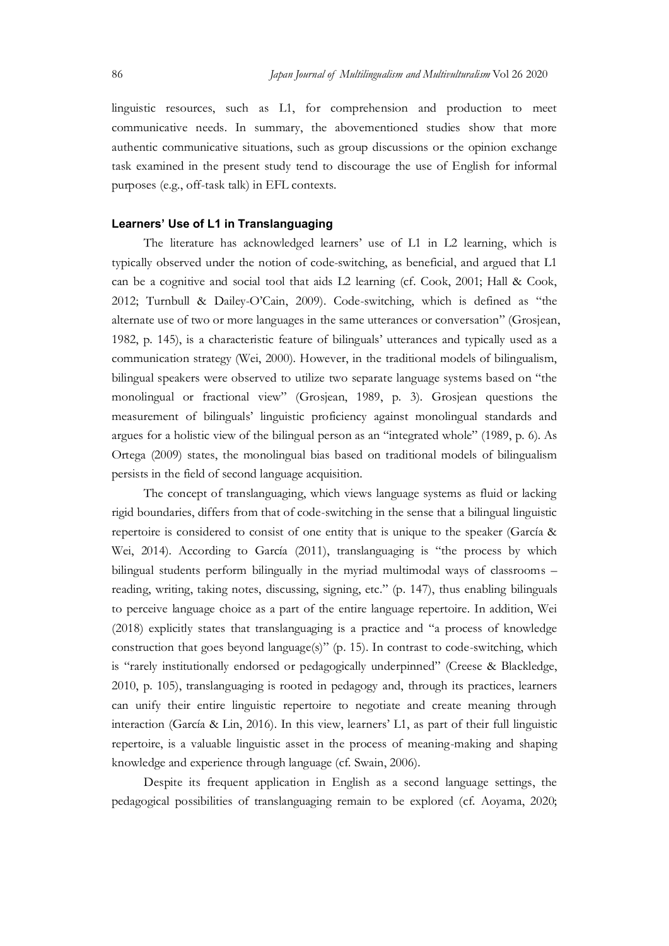So Japan Journal of Multilingualism and Multivulturalism Vol 26 2020<br>
linguistic resources, such as L1, for comprehension and production to meet<br>
communicative needs. In summary, the abovementioned studies show that more<br> linguistic resources, such as L1, for comprehension and production to meet communicative needs. In summary, the abovementioned studies show that more authentic communicative situations, such as group discussions or the opinion exchange task examined in the present study tend to discourage the use of English for informal purposes (e.g., off-task talk) in EFL contexts.

#### Learners' Use of L1 in Translanguaging

The literature has acknowledged learners' use of L1 in L2 learning, which is typically observed under the notion of code-switching, as beneficial, and argued that L1 can be a cognitive and social tool that aids L2 learning (cf. Cook, 2001; Hall & Cook, 2012; Turnbull & Dailey-O'Cain, 2009). Code-switching, which is defined as "the alternate use of two or more languages in the same utterances or conversation" (Grosjean, 1982, p. 145), is a characteristic feature of bilinguals' utterances and typically used as a communication strategy (Wei, 2000). However, in the traditional models of bilingualism, bilingual speakers were observed to utilize two separate language systems based on "the monolingual or fractional view" (Grosjean, 1989, p. 3). Grosjean questions the measurement of bilinguals' linguistic proficiency against monolingual standards and argues for a holistic view of the bilingual person as an "integrated whole" (1989, p. 6). As Ortega (2009) states, the monolingual bias based on traditional models of bilingualism persists in the field of second language acquisition.

The concept of translanguaging, which views language systems as fluid or lacking rigid boundaries, differs from that of code-switching in the sense that a bilingual linguistic repertoire is considered to consist of one entity that is unique to the speaker (García & Wei, 2014). According to García (2011), translanguaging is "the process by which bilingual students perform bilingually in the myriad multimodal ways of classrooms – reading, writing, taking notes, discussing, signing, etc." (p. 147), thus enabling bilinguals to perceive language choice as a part of the entire language repertoire. In addition, Wei (2018) explicitly states that translanguaging is a practice and "a process of knowledge construction that goes beyond language(s)" (p. 15). In contrast to code-switching, which is "rarely institutionally endorsed or pedagogically underpinned" (Creese & Blackledge, 2010, p. 105), translanguaging is rooted in pedagogy and, through its practices, learners can unify their entire linguistic repertoire to negotiate and create meaning through interaction (García & Lin, 2016). In this view, learners' L1, as part of their full linguistic repertoire, is a valuable linguistic asset in the process of meaning-making and shaping knowledge and experience through language (cf. Swain, 2006).

Despite its frequent application in English as a second language settings, the pedagogical possibilities of translanguaging remain to be explored (cf. Aoyama, 2020;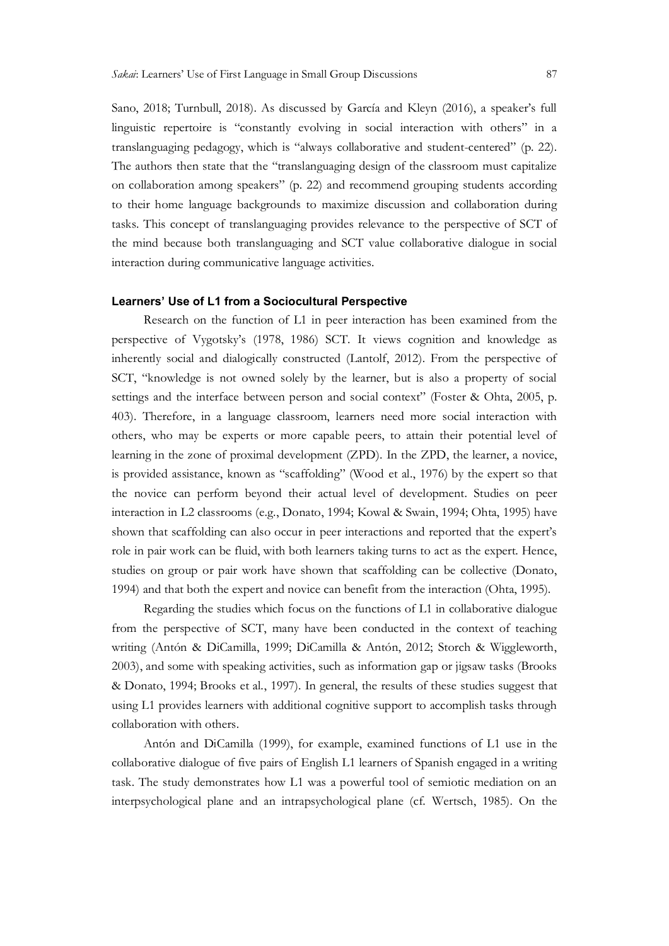Sano, 2018; Turnbull, 2018). As discussed by García and Kleyn (2016), a speaker's full linguistic repertoire is "constantly evolving in social interaction with others" in a translanguaging pedagogy, which is "always collaborative and student-centered" (p. 22). The authors then state that the "translanguaging design of the classroom must capitalize on collaboration among speakers" (p. 22) and recommend grouping students according to their home language backgrounds to maximize discussion and collaboration during tasks. This concept of translanguaging provides relevance to the perspective of SCT of the mind because both translanguaging and SCT value collaborative dialogue in social interaction during communicative language activities.

#### Learners' Use of L1 from a Sociocultural Perspective

Research on the function of L1 in peer interaction has been examined from the perspective of Vygotsky's (1978, 1986) SCT. It views cognition and knowledge as inherently social and dialogically constructed (Lantolf, 2012). From the perspective of SCT, "knowledge is not owned solely by the learner, but is also a property of social settings and the interface between person and social context" (Foster & Ohta, 2005, p. 403). Therefore, in a language classroom, learners need more social interaction with others, who may be experts or more capable peers, to attain their potential level of learning in the zone of proximal development (ZPD). In the ZPD, the learner, a novice, is provided assistance, known as "scaffolding" (Wood et al., 1976) by the expert so that the novice can perform beyond their actual level of development. Studies on peer interaction in L2 classrooms (e.g., Donato, 1994; Kowal & Swain, 1994; Ohta, 1995) have shown that scaffolding can also occur in peer interactions and reported that the expert's role in pair work can be fluid, with both learners taking turns to act as the expert. Hence, studies on group or pair work have shown that scaffolding can be collective (Donato, 1994) and that both the expert and novice can benefit from the interaction (Ohta, 1995).

Regarding the studies which focus on the functions of L1 in collaborative dialogue from the perspective of SCT, many have been conducted in the context of teaching writing (Antón & DiCamilla, 1999; DiCamilla & Antón, 2012; Storch & Wiggleworth, 2003), and some with speaking activities, such as information gap or jigsaw tasks (Brooks & Donato, 1994; Brooks et al., 1997). In general, the results of these studies suggest that using L1 provides learners with additional cognitive support to accomplish tasks through collaboration with others.

Antón and DiCamilla (1999), for example, examined functions of L1 use in the collaborative dialogue of five pairs of English L1 learners of Spanish engaged in a writing task. The study demonstrates how L1 was a powerful tool of semiotic mediation on an interpsychological plane and an intrapsychological plane (cf. Wertsch, 1985). On the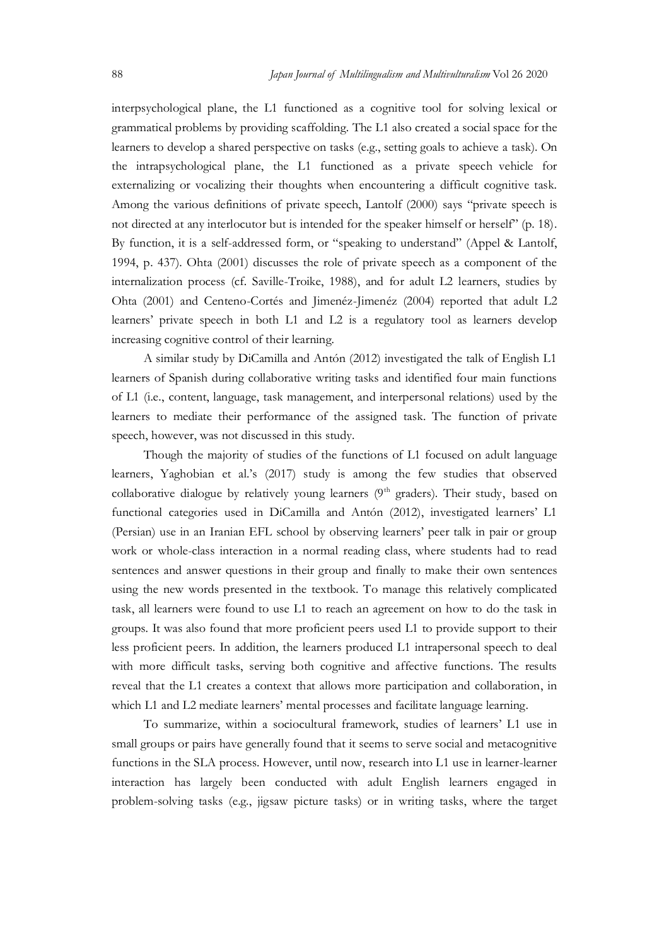Japan Journal of Multilingualism and Multivulturalism Vol 26 2020<br>
interpsychological plane, the L1 functioned as a cognitive tool for solving lexical or<br>
grammatical problems by providing scaffolding. The L1 also created interpsychological plane, the L1 functioned as a cognitive tool for solving lexical or grammatical problems by providing scaffolding. The L1 also created a social space for the learners to develop a shared perspective on tasks (e.g., setting goals to achieve a task). On the intrapsychological plane, the L1 functioned as a private speech vehicle for externalizing or vocalizing their thoughts when encountering a difficult cognitive task. Among the various definitions of private speech, Lantolf (2000) says "private speech is not directed at any interlocutor but is intended for the speaker himself or herself" (p. 18).<br>By function, it is a self-addressed form, or "speaking to understand" (Appel & Lantolf, 1994, p. 437). Ohta (2001) discusses the role of private speech as a component of the internalization process (cf. Saville-Troike, 1988), and for adult L2 learners, studies by Ohta (2001) and Centeno-Cortés and Jimenéz-Jimenéz (2004) reported that adult L2 learners' private speech in both L1 and L2 is a regulatory tool as learners develop increasing cognitive control of their learning.

A similar study by DiCamilla and Antón (2012) investigated the talk of English L1 learners of Spanish during collaborative writing tasks and identified four main functions of L1 (i.e., content, language, task management, and interpersonal relations) used by the learners to mediate their performance of the assigned task. The function of private speech, however, was not discussed in this study.

Though the majority of studies of the functions of L1 focused on adult language learners, Yaghobian et al.'s (2017) study is among the few studies that observed collaborative dialogue by relatively young learners (9<sup>th</sup> graders). Their study, based on functional categories used in DiCamilla and Antón (2012), investigated learners' L1 (Persian) use in an Iranian EFL school by observing learners' peer talk in pair or group work or whole-class interaction in a normal reading class, where students had to read sentences and answer questions in their group and finally to make their own sentences using the new words presented in the textbook. To manage this relatively complicated task, all learners were found to use L1 to reach an agreement on how to do the task in groups. It was also found that more proficient peers used L1 to provide support to their less proficient peers. In addition, the learners produced L1 intrapersonal speech to deal with more difficult tasks, serving both cognitive and affective functions. The results reveal that the L1 creates a context that allows more participation and collaboration, in which L1 and L2 mediate learners' mental processes and facilitate language learning.

To summarize, within a sociocultural framework, studies of learners' L1 use in small groups or pairs have generally found that it seems to serve social and metacognitive functions in the SLA process. However, until now, research into L1 use in learner-learner interaction has largely been conducted with adult English learners engaged in problem-solving tasks (e.g., jigsaw picture tasks) or in writing tasks, where the target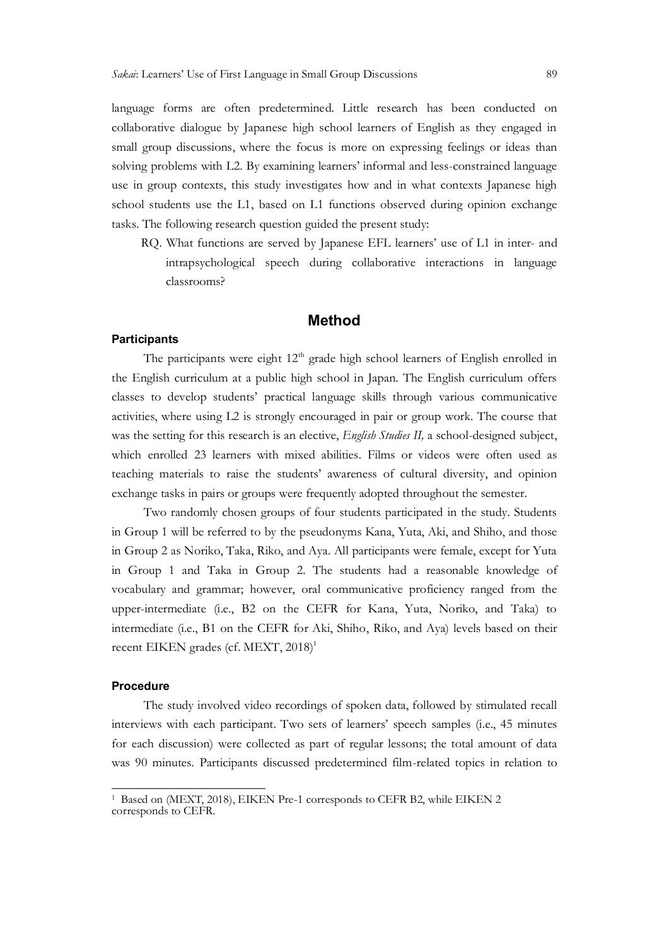language forms are often predetermined. Little research has been conducted on collaborative dialogue by Japanese high school learners of English as they engaged in small group discussions, where the focus is more on expressing feelings or ideas than solving problems with L2. By examining learners' informal and less-constrained language use in group contexts, this study investigates how and in what contexts Japanese high school students use the L1, based on L1 functions observed during opinion exchange tasks. The following research question guided the present study:

RQ. What functions are served by Japanese EFL learners' use of L1 in inter- and intrapsychological speech during collaborative interactions in language classrooms?

#### Method

#### **Participants**

The participants were eight  $12<sup>th</sup>$  grade high school learners of English enrolled in the English curriculum at a public high school in Japan. The English curriculum offers classes to develop students' practical language skills through various communicative activities, where using L2 is strongly encouraged in pair or group work. The course that was the setting for this research is an elective, English Studies II, a school-designed subject, which enrolled 23 learners with mixed abilities. Films or videos were often used as teaching materials to raise the students' awareness of cultural diversity, and opinion exchange tasks in pairs or groups were frequently adopted throughout the semester.

Two randomly chosen groups of four students participated in the study. Students in Group 1 will be referred to by the pseudonyms Kana, Yuta, Aki, and Shiho, and those in Group 2 as Noriko, Taka, Riko, and Aya. All participants were female, except for Yuta in Group 1 and Taka in Group 2. The students had a reasonable knowledge of vocabulary and grammar; however, oral communicative proficiency ranged from the upper-intermediate (i.e., B2 on the CEFR for Kana, Yuta, Noriko, and Taka) to intermediate (i.e., B1 on the CEFR for Aki, Shiho, Riko, and Aya) levels based on their recent EIKEN grades (cf. MEXT, 2018)<sup>1</sup>

#### **Procedure**

The study involved video recordings of spoken data, followed by stimulated recall interviews with each participant. Two sets of learners' speech samples (i.e., 45 minutes for each discussion) were collected as part of regular lessons; the total amount of data was 90 minutes. Participants discussed predetermined film-related topics in relation to 1

<sup>&</sup>lt;sup>1</sup> Based on (MEXT, 2018), EIKEN Pre-1 corresponds to CEFR B2, while EIKEN 2 corresponds to CEFR.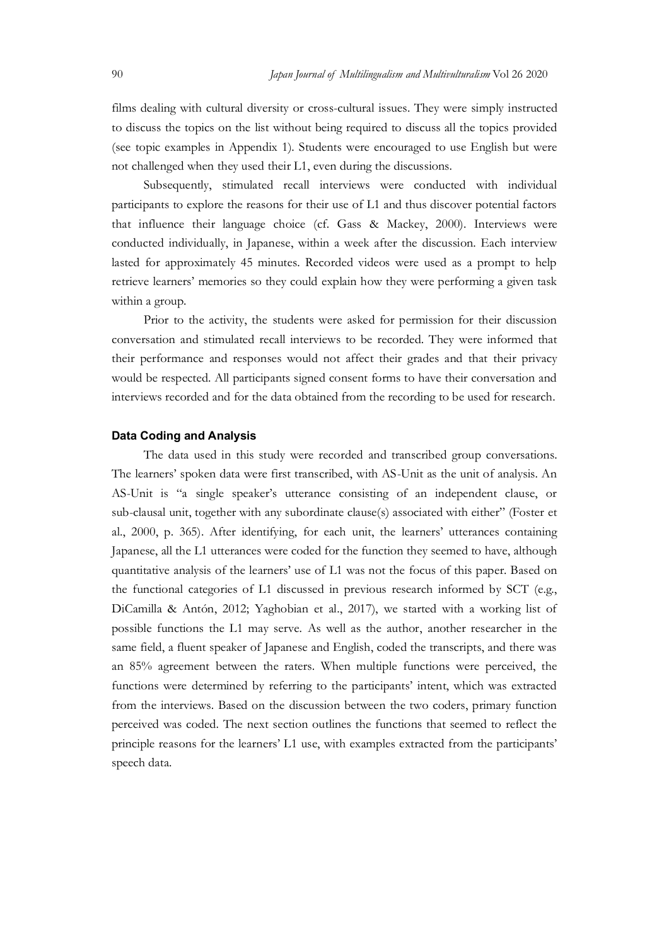Japan Journal of Multilingualism and Multivulturalism Vol 26 2020<br>
films dealing with cultural diversity or cross-cultural issues. They were simply instructed<br>
to discuss the topics on the list without being required to di films dealing with cultural diversity or cross-cultural issues. They were simply instructed to discuss the topics on the list without being required to discuss all the topics provided (see topic examples in Appendix 1). Students were encouraged to use English but were not challenged when they used their L1, even during the discussions.

Subsequently, stimulated recall interviews were conducted with individual participants to explore the reasons for their use of L1 and thus discover potential factors that influence their language choice (cf. Gass & Mackey, 2000). Interviews were conducted individually, in Japanese, within a week after the discussion. Each interview lasted for approximately 45 minutes. Recorded videos were used as a prompt to help retrieve learners' memories so they could explain how they were performing a given task within a group.

Prior to the activity, the students were asked for permission for their discussion conversation and stimulated recall interviews to be recorded. They were informed that their performance and responses would not affect their grades and that their privacy would be respected. All participants signed consent forms to have their conversation and interviews recorded and for the data obtained from the recording to be used for research.

#### Data Coding and Analysis

The data used in this study were recorded and transcribed group conversations. The learners' spoken data were first transcribed, with AS-Unit as the unit of analysis. An AS-Unit is "a single speaker's utterance consisting of an independent clause, or sub-clausal unit, together with any subordinate clause(s) associated with either" (Foster et al., 2000, p. 365). After identifying, for each unit, the learners' utterances containing Japanese, all the L1 utterances were coded for the function they seemed to have, although quantitative analysis of the learners' use of L1 was not the focus of this paper. Based on the functional categories of L1 discussed in previous research informed by SCT (e.g., DiCamilla & Antón, 2012; Yaghobian et al., 2017), we started with a working list of possible functions the L1 may serve. As well as the author, another researcher in the same field, a fluent speaker of Japanese and English, coded the transcripts, and there was an 85% agreement between the raters. When multiple functions were perceived, the functions were determined by referring to the participants' intent, which was extracted from the interviews. Based on the discussion between the two coders, primary function perceived was coded. The next section outlines the functions that seemed to reflect the principle reasons for the learners' L1 use, with examples extracted from the participants' speech data.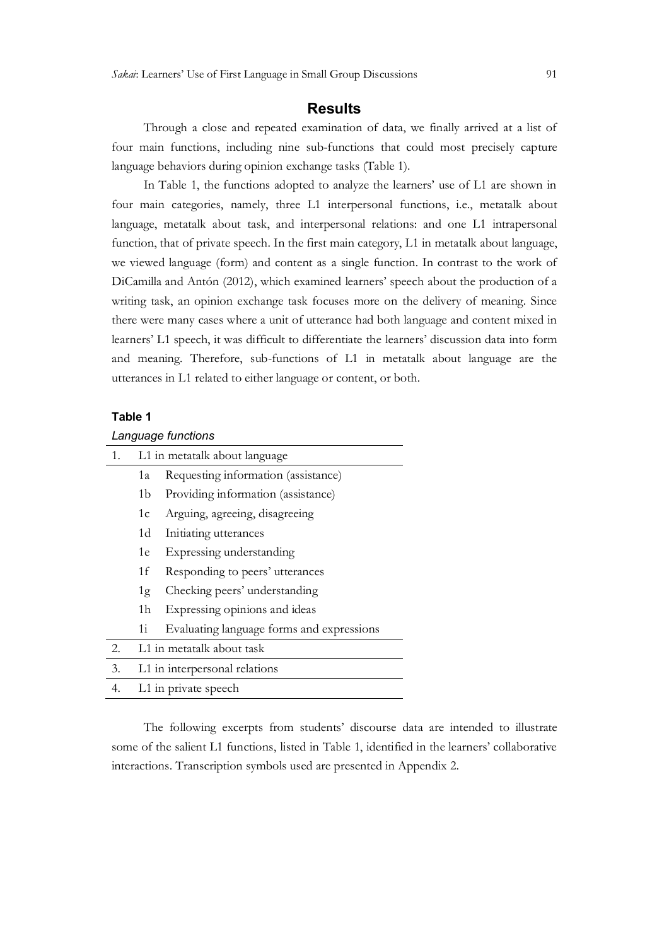#### **Results**

Through a close and repeated examination of data, we finally arrived at a list of four main functions, including nine sub-functions that could most precisely capture language behaviors during opinion exchange tasks (Table 1).

In Table 1, the functions adopted to analyze the learners' use of L1 are shown in four main categories, namely, three L1 interpersonal functions, i.e., metatalk about language, metatalk about task, and interpersonal relations: and one L1 intrapersonal function, that of private speech. In the first main category, L1 in metatalk about language, we viewed language (form) and content as a single function. In contrast to the work of DiCamilla and Antón (2012), which examined learners' speech about the production of a writing task, an opinion exchange task focuses more on the delivery of meaning. Since there were many cases where a unit of utterance had both language and content mixed in learners' L1 speech, it was difficult to differentiate the learners' discussion data into form and meaning. Therefore, sub-functions of L1 in metatalk about language are the utterances in L1 related to either language or content, or both.

#### Table 1

| Language functions             |  |
|--------------------------------|--|
| I 1 in metatalk about language |  |

| 1. |                | L1 in metatalk about language             |
|----|----------------|-------------------------------------------|
|    | 1a             | Requesting information (assistance)       |
|    | 1b             | Providing information (assistance)        |
|    | 1c             | Arguing, agreeing, disagreeing            |
|    | 1d             | Initiating utterances                     |
|    | 1e             | Expressing understanding                  |
|    | 1f             | Responding to peers' utterances           |
|    | 1g             | Checking peers' understanding             |
|    | 1 <sub>h</sub> | Expressing opinions and ideas             |
|    | 1i             | Evaluating language forms and expressions |
| 2. |                | L1 in metatalk about task                 |
| 3. |                | L1 in interpersonal relations             |
| 4. |                | L1 in private speech                      |

The following excerpts from students' discourse data are intended to illustrate some of the salient L1 functions, listed in Table 1, identified in the learners' collaborative interactions. Transcription symbols used are presented in Appendix 2.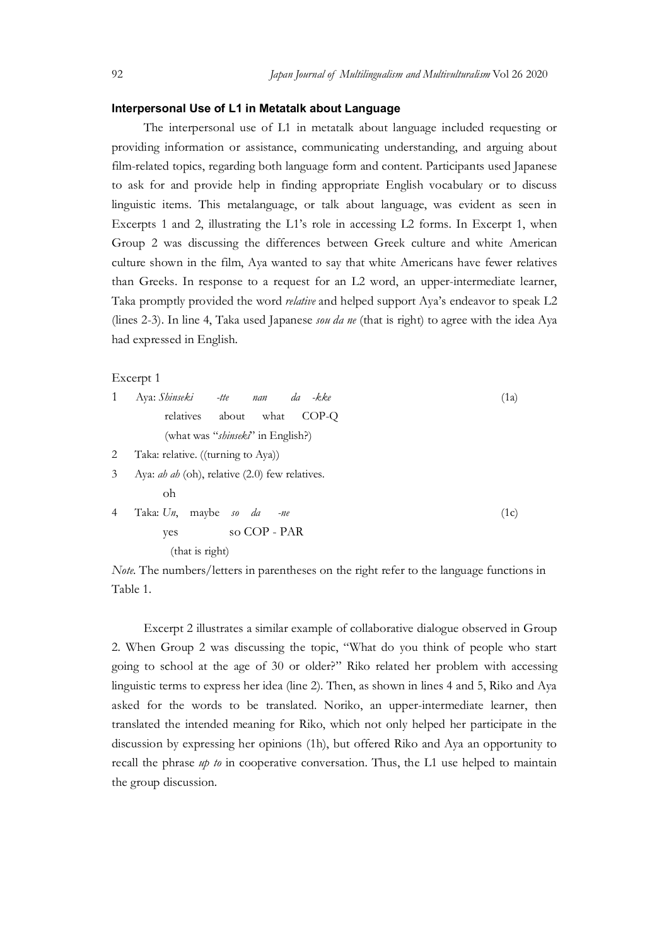#### Interpersonal Use of L1 in Metatalk about Language

Japan Journal of Multilingualism and Multivulturalism Vol 26 2020<br> **Interpersonal Use of L1 in Metatalk about Language**<br>
The interpersonal use of L1 in metatalk about language included requesting or<br>
providing information The interpersonal use of L1 in metatalk about language included requesting or providing information or assistance, communicating understanding, and arguing about film-related topics, regarding both language form and content. Participants used Japanese to ask for and provide help in finding appropriate English vocabulary or to discuss linguistic items. This metalanguage, or talk about language, was evident as seen in Excerpts 1 and 2, illustrating the L1's role in accessing L2 forms. In Excerpt 1, when Group 2 was discussing the differences between Greek culture and white American culture shown in the film, Aya wanted to say that white Americans have fewer relatives than Greeks. In response to a request for an L2 word, an upper-intermediate learner, Taka promptly provided the word *relative* and helped support Aya's endeavor to speak L2 (lines 2-3). In line 4, Taka used Japanese *sou da ne* (that is right) to agree with the idea Aya had expressed in English. to ask for and provide help in finding appropriate English vocabulary or to discuss<br>
linguistic items. This metalanguage, or talk about language, was evident as seen in<br>
Excerpt 1, when<br>
Group 2 was discussing the differe

Excerpt 1

| 1              | Aya: Shinseki -tte nan da<br>-kke                       | (1a) |
|----------------|---------------------------------------------------------|------|
|                | relatives about<br>what<br>COP-O                        |      |
|                | (what was "shinsek?" in English?)                       |      |
| 2              | Taka: relative. ((turning to Aya))                      |      |
| 3              | Aya: <i>ah ah</i> (oh), relative $(2.0)$ few relatives. |      |
|                | oh                                                      |      |
| $\overline{4}$ | Taka: Un, maybe so da<br>$-ne$                          | (1c) |
|                | so COP - PAR<br>yes                                     |      |
|                | (that is right)                                         |      |

Note. The numbers/letters in parentheses on the right refer to the language functions in Table 1.

Excerpt 2 illustrates a similar example of collaborative dialogue observed in Group 2. When Group 2 was discussing the topic, "What do you think of people who start going to school at the age of 30 or older?" Riko related her problem with accessing linguistic terms to express her idea (line 2). Then, as shown in lines 4 and 5, Riko and Aya asked for the words to be translated. Noriko, an upper-intermediate learner, then translated the intended meaning for Riko, which not only helped her participate in the discussion by expressing her opinions (1h), but offered Riko and Aya an opportunity to recall the phrase  $u\phi$  to in cooperative conversation. Thus, the L1 use helped to maintain the group discussion.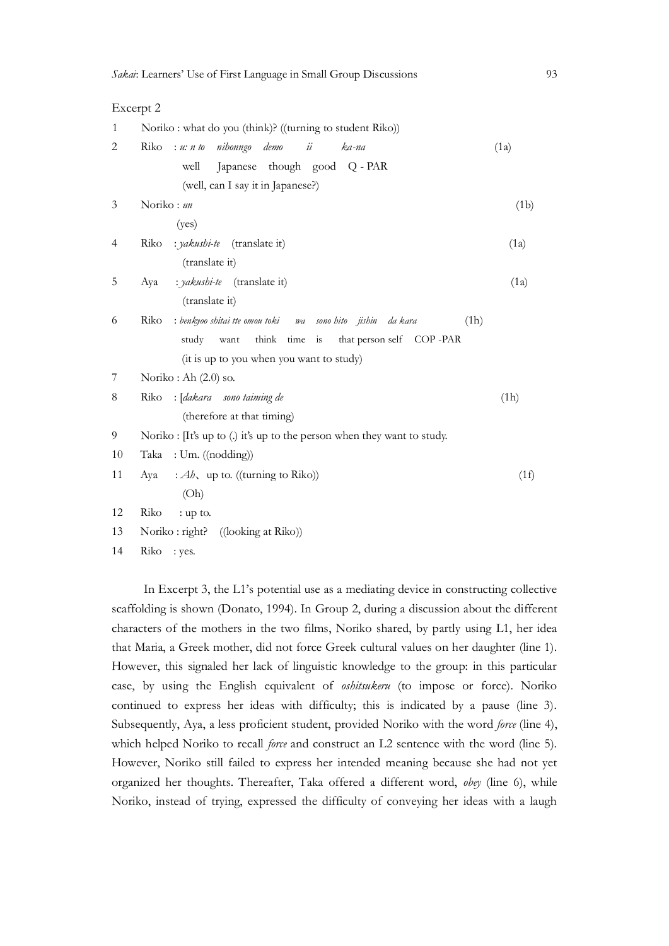#### Excerpt 2

| $\mathbf{1}$ | Noriko: what do you (think)? ((turning to student Riko))                      |      |
|--------------|-------------------------------------------------------------------------------|------|
| 2            | nihonngo<br>demo<br>ii<br>Riko<br>: u: n to<br>ka-na                          | (1a) |
|              | Japanese though good Q - PAR<br>well                                          |      |
|              | (well, can I say it in Japanese?)                                             |      |
| 3            | Noriko: un                                                                    | (1b) |
|              | (yes)                                                                         |      |
| 4            | : yakushi-te (translate it)<br>Riko                                           | (1a) |
|              | (translate it)                                                                |      |
| 5            | : yakushi-te (translate it)<br>Aya                                            | (1a) |
|              | (translate it)                                                                |      |
| 6            | Riko<br>: benkyoo shitai tte omou toki<br>(1h)<br>wa sono-hito jishin da-kara |      |
|              | think time is<br>that person self COP-PAR<br>study<br>want                    |      |
|              | (it is up to you when you want to study)                                      |      |
| 7            | Noriko: Ah $(2.0)$ so.                                                        |      |
| 8            | Riko : [dakara sono taiming de                                                | (1h) |
|              | (therefore at that timing)                                                    |      |
| 9            | Noriko: [It's up to (.) it's up to the person when they want to study.        |      |
| 10           | : Um. ((nodding))<br>Taka                                                     |      |
| 11           | : $Ab$ , up to. ((turning to Riko))<br>Aya                                    | (1f) |
|              | (Oh)                                                                          |      |
| 12           | Riko<br>: up to.                                                              |      |
| 13           | Noriko: right? ((looking at Riko))                                            |      |

14 Riko : yes.

In Excerpt 3, the L1's potential use as a mediating device in constructing collective scaffolding is shown (Donato, 1994). In Group 2, during a discussion about the different characters of the mothers in the two films, Noriko shared, by partly using L1, her idea that Maria, a Greek mother, did not force Greek cultural values on her daughter (line 1). However, this signaled her lack of linguistic knowledge to the group: in this particular case, by using the English equivalent of oshitsukeru (to impose or force). Noriko continued to express her ideas with difficulty; this is indicated by a pause (line 3). Subsequently, Aya, a less proficient student, provided Noriko with the word *force* (line 4), which helped Noriko to recall *force* and construct an L2 sentence with the word (line 5). However, Noriko still failed to express her intended meaning because she had not yet organized her thoughts. Thereafter, Taka offered a different word, obey (line 6), while Noriko, instead of trying, expressed the difficulty of conveying her ideas with a laugh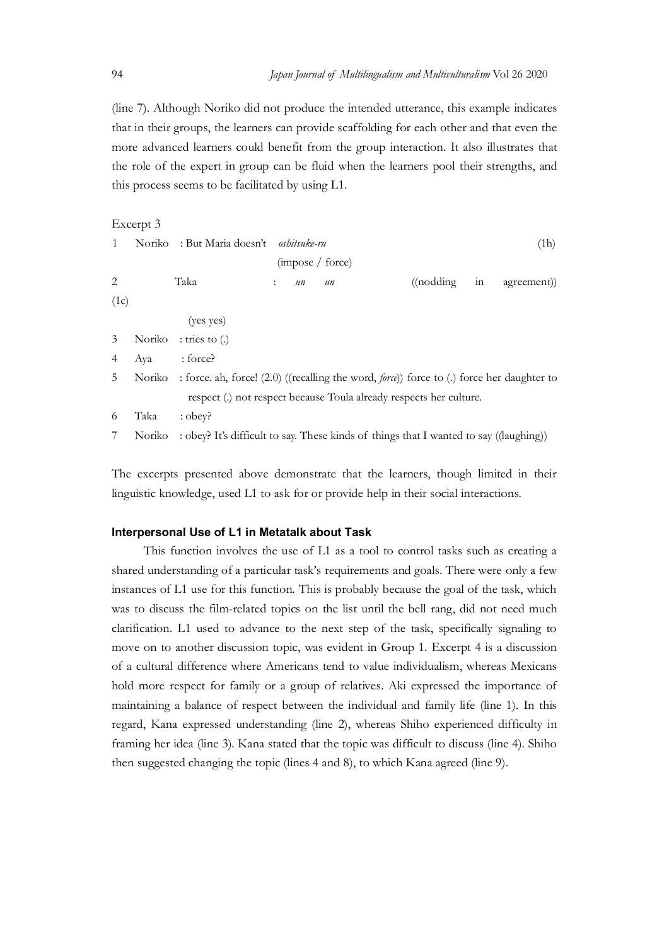Japan Journal of Multilingualism and Multivulturalism Vol 26 2020<br>(line 7). Although Noriko did not produce the intended utterance, this example indicates<br>that in their groups, the learners can provide scaffolding for each (line 7). Although Noriko did not produce the intended utterance, this example indicates that in their groups, the learners can provide scaffolding for each other and that even the more advanced learners could benefit from the group interaction. It also illustrates that the role of the expert in group can be fluid when the learners pool their strengths, and this process seems to be facilitated by using L1.

|                |           |                                                   | the role of the expert in group can be fluid when the learners pool their strengths, and                                                                                      |                    |    |             |
|----------------|-----------|---------------------------------------------------|-------------------------------------------------------------------------------------------------------------------------------------------------------------------------------|--------------------|----|-------------|
|                |           | this process seems to be facilitated by using L1. |                                                                                                                                                                               |                    |    |             |
|                | Excerpt 3 |                                                   |                                                                                                                                                                               |                    |    |             |
| 1              | Noriko    | : But Maria doesn't oshitsuke-ru                  | (impose / force)                                                                                                                                                              |                    |    | (1h)        |
| $\mathbf{2}$   |           | Taka                                              | $\nu$<br>$\nu$                                                                                                                                                                | $\alpha$ (nodding) | in | agreement)) |
| (1c)           |           |                                                   |                                                                                                                                                                               |                    |    |             |
|                |           | (yes yes)                                         |                                                                                                                                                                               |                    |    |             |
| $\mathfrak{Z}$ | Noriko    | $:$ tries to $(.)$                                |                                                                                                                                                                               |                    |    |             |
| $\overline{4}$ | Aya       | : force?                                          |                                                                                                                                                                               |                    |    |             |
| 5              | Noriko    |                                                   | : force. ah, force! (2.0) ((recalling the word, <i>force</i> )) force to (.) force her daughter to<br>respect (.) not respect because Toula already respects her culture.     |                    |    |             |
| 6              | Taka      | : obey?                                           |                                                                                                                                                                               |                    |    |             |
| 7              | Noriko    |                                                   | : obey? It's difficult to say. These kinds of things that I wanted to say ((laughing))                                                                                        |                    |    |             |
|                |           |                                                   | The excerpts presented above demonstrate that the learners, though limited in their<br>linguistic knowledge, used L1 to ask for or provide help in their social interactions. |                    |    |             |
|                |           |                                                   |                                                                                                                                                                               |                    |    |             |

#### Interpersonal Use of L1 in Metatalk about Task

This function involves the use of L1 as a tool to control tasks such as creating a shared understanding of a particular task's requirements and goals. There were only a few instances of L1 use for this function. This is probably because the goal of the task, which was to discuss the film-related topics on the list until the bell rang, did not need much clarification. L1 used to advance to the next step of the task, specifically signaling to move on to another discussion topic, was evident in Group 1. Excerpt 4 is a discussion of a cultural difference where Americans tend to value individualism, whereas Mexicans hold more respect for family or a group of relatives. Aki expressed the importance of maintaining a balance of respect between the individual and family life (line 1). In this regard, Kana expressed understanding (line 2), whereas Shiho experienced difficulty in framing her idea (line 3). Kana stated that the topic was difficult to discuss (line 4). Shiho then suggested changing the topic (lines 4 and 8), to which Kana agreed (line 9).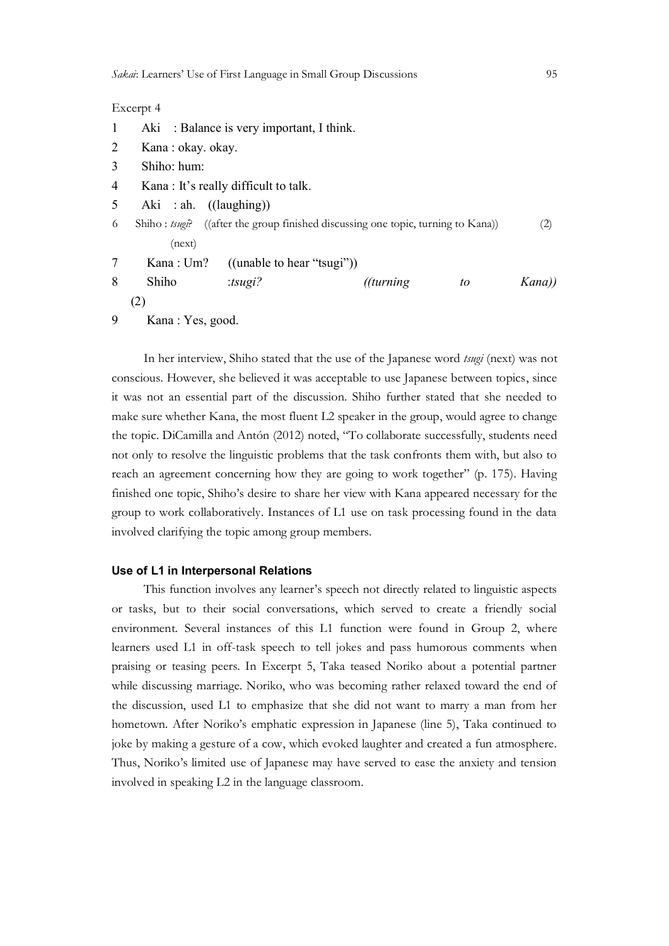#### Excerpt 4

| 1 |                                 | Aki : Balance is very important, I think. |                                                                                  |    |        |  |
|---|---------------------------------|-------------------------------------------|----------------------------------------------------------------------------------|----|--------|--|
| 2 | Kana: okay. okay.               |                                           |                                                                                  |    |        |  |
| 3 | Shiho: hum:                     |                                           |                                                                                  |    |        |  |
| 4 |                                 | Kana: It's really difficult to talk.      |                                                                                  |    |        |  |
| 5 | Aki : ah. $((\text{laughing}))$ |                                           |                                                                                  |    |        |  |
| 6 |                                 |                                           | Shiho: tsugg? ((after the group finished discussing one topic, turning to Kana)) |    | (2)    |  |
|   | (next)                          |                                           |                                                                                  |    |        |  |
| 7 | Kana: Um?                       | $((\text{unable to hear "tsugi"))$        |                                                                                  |    |        |  |
| 8 | Shiho                           | : $t3ug1$ ?                               | (turning                                                                         | to | Kana)) |  |
|   | (2)                             |                                           |                                                                                  |    |        |  |
| 9 | Kana: Yes, good.                |                                           |                                                                                  |    |        |  |

In her interview, Shiho stated that the use of the Japanese word tsugi (next) was not conscious. However, she believed it was acceptable to use Japanese between topics, since it was not an essential part of the discussion. Shiho further stated that she needed to make sure whether Kana, the most fluent L2 speaker in the group, would agree to change the topic. DiCamilla and Antón (2012) noted, "To collaborate successfully, students need not only to resolve the linguistic problems that the task confronts them with, but also to reach an agreement concerning how they are going to work together" (p. 175). Having finished one topic, Shiho's desire to share her view with Kana appeared necessary for the group to work collaboratively. Instances of L1 use on task processing found in the data involved clarifying the topic among group members.

#### Use of L1 in Interpersonal Relations

This function involves any learner's speech not directly related to linguistic aspects or tasks, but to their social conversations, which served to create a friendly social environment. Several instances of this L1 function were found in Group 2, where learners used L1 in off-task speech to tell jokes and pass humorous comments when praising or teasing peers. In Excerpt 5, Taka teased Noriko about a potential partner while discussing marriage. Noriko, who was becoming rather relaxed toward the end of the discussion, used L1 to emphasize that she did not want to marry a man from her hometown. After Noriko's emphatic expression in Japanese (line 5), Taka continued to joke by making a gesture of a cow, which evoked laughter and created a fun atmosphere. Thus, Noriko's limited use of Japanese may have served to ease the anxiety and tension involved in speaking L2 in the language classroom.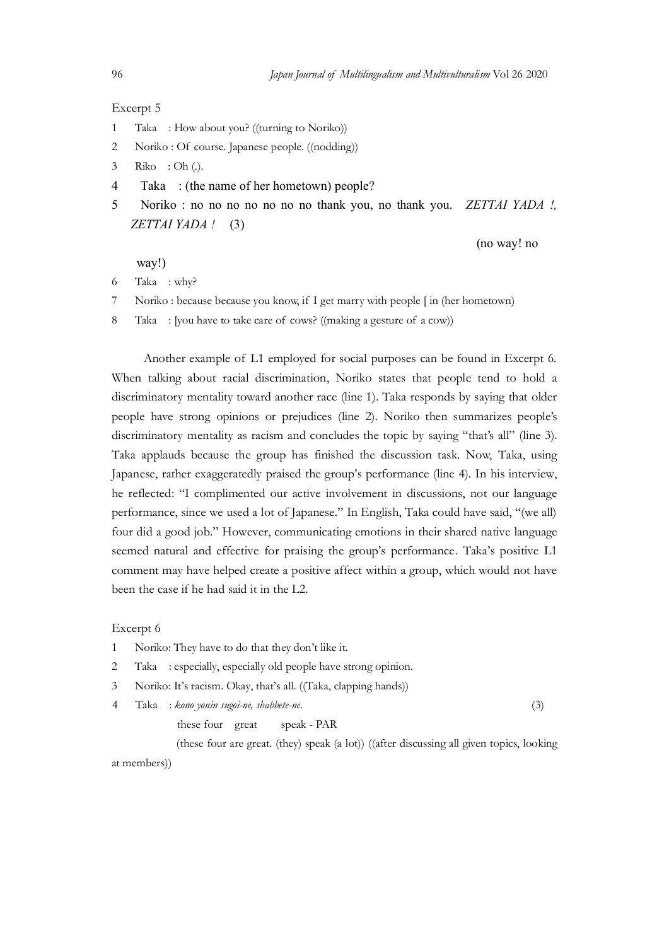#### Excerpt 5

- 1 Taka : How about you? ((turning to Noriko))
- Japan Journal of Multilingualism and Multivulturalism Vol 26 2020<br>Excerpt 5<br>1 Taka : How about you? ((turning to Noriko))<br>2 Noriko : Of course. Japanese people. ((nodding))<br>3 Pilos : Ob ()
- 3 Riko : Oh (.).
- 4 Taka : (the name of her hometown) people?
- 3 Japan Journal of Multilingualism and Multivulturalism Vol 26 2020<br>
2 Noriko : Of course. Japanese people. ((nodding))<br>
2 Noriko : Of course. Japanese people. ((nodding))<br>
3 Riko : Oh (.).<br>
4 Taka : (the name of her homet 5 Noriko : no no no no no no no thank you, no thank you. ZETTAI YADA !, ZETTAI YADA ! (3)

(no way! no

way!)

- 6 Taka : why?
- 

*Japan Jaurnal of Multilingualism and Multimalum Vol 26 2020*<br>
1 Taka : How about you? ((turning to Noriko))<br>
2 Noriko : Of course. Japanse people. ((nodding))<br>
3 Riko : Of Course. Japanse people. ((nodding))<br>
4 Taka : (th *Japan Journal of Multilingualism and Multirsulturalism* Vol 26 2020<br>
Excerpt 5<br>
1 Taka : How about you? ((turning to Noriko))<br>
2 Noriko : Of course. Japanese people. ((nodding))<br>
3 Riko : (the name of her hometown) people Another example of L1 employed for social purposes can be found in Excerpt 6. When talking about racial discrimination, Noriko states that people tend to hold a discriminatory mentality toward another race (line 1). Taka responds by saying that older people have strong opinions or prejudices (line 2). Noriko then summarizes people's discriminatory mentality as racism and concludes the topic by saying "that's all" (line 3). Taka applauds because the group has finished the discussion task. Now, Taka, using Japanese, rather exaggeratedly praised the group's performance (line 4). In his interview, he reflected: "I complimented our active involvement in discussions, not our language performance, since we used a lot of Japanese." In English, Taka could have said, "(we all) four did a good job." However, communicating emotions in their shared native language seemed natural and effective for praising the group's performance. Taka's positive L1 comment may have helped create a positive affect within a group, which would not have been the case if he had said it in the L2.

#### Excerpt 6

- 1 Noriko: They have to do that they don't like it.
- 2 Taka : especially, especially old people have strong opinion.
- 3 Noriko: It's racism. Okay, that's all. ((Taka, clapping hands))
- 4 Taka : kono yonin sugoi-ne, shabbete-ne. (3)

these four great speak - PAR

 (these four are great. (they) speak (a lot)) ((after discussing all given topics, looking at members))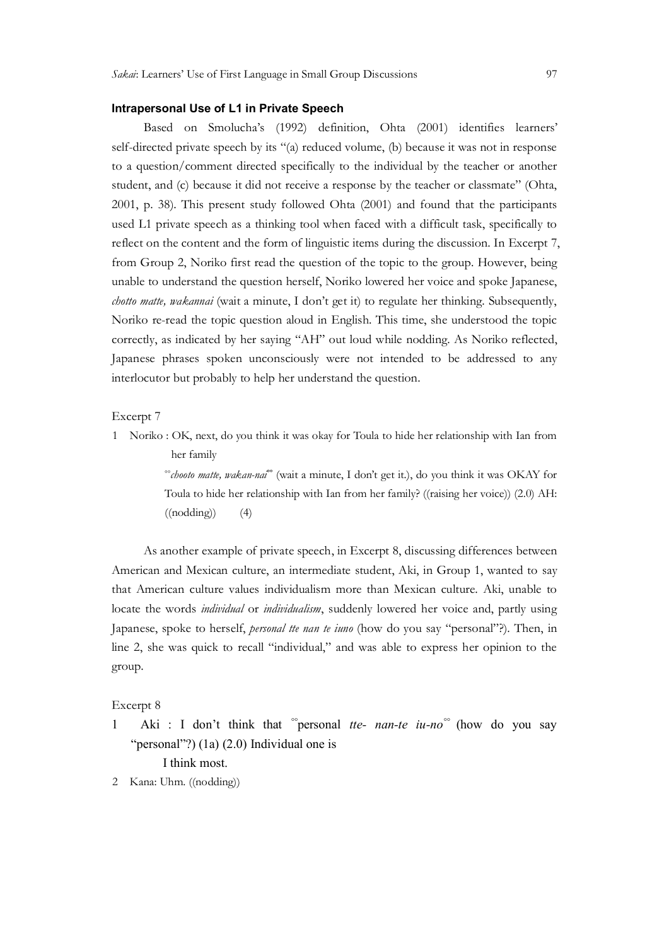#### Intrapersonal Use of L1 in Private Speech

Based on Smolucha's (1992) definition, Ohta (2001) identifies learners' self-directed private speech by its "(a) reduced volume, (b) because it was not in response to a question/comment directed specifically to the individual by the teacher or another student, and (c) because it did not receive a response by the teacher or classmate" (Ohta, 2001, p. 38). This present study followed Ohta (2001) and found that the participants used L1 private speech as a thinking tool when faced with a difficult task, specifically to reflect on the content and the form of linguistic items during the discussion. In Excerpt 7, from Group 2, Noriko first read the question of the topic to the group. However, being unable to understand the question herself, Noriko lowered her voice and spoke Japanese, chotto matte, wakannai (wait a minute, I don't get it) to regulate her thinking. Subsequently, Noriko re-read the topic question aloud in English. This time, she understood the topic correctly, as indicated by her saying "AH" out loud while nodding. As Noriko reflected, Japanese phrases spoken unconsciously were not intended to be addressed to any interlocutor but probably to help her understand the question.

Excerpt 7

1 Noriko : OK, next, do you think it was okay for Toula to hide her relationship with Ian from her family<br>
"chooto matte, wakan-nai" (wait a minute, I don't get it.), do you think it was OKAY for

Toula to hide her relationship with Ian from her family? ((raising her voice)) (2.0) AH:  $((nodding))$   $(4)$ 

 As another example of private speech, in Excerpt 8, discussing differences between American and Mexican culture, an intermediate student, Aki, in Group 1, wanted to say that American culture values individualism more than Mexican culture. Aki, unable to locate the words individual or individualism, suddenly lowered her voice and, partly using Japanese, spoke to herself, *personal tte nan te iuno* (how do you say "personal"?). Then, in line 2, she was quick to recall "individual," and was able to express her opinion to the group.

#### Excerpt 8

1 Aki : I don't think that "personal *tte- nan-te iu-no*" (how do you say "personal"?) (1a) (2.0) Individual one is

I think most.

2 Kana: Uhm. ((nodding))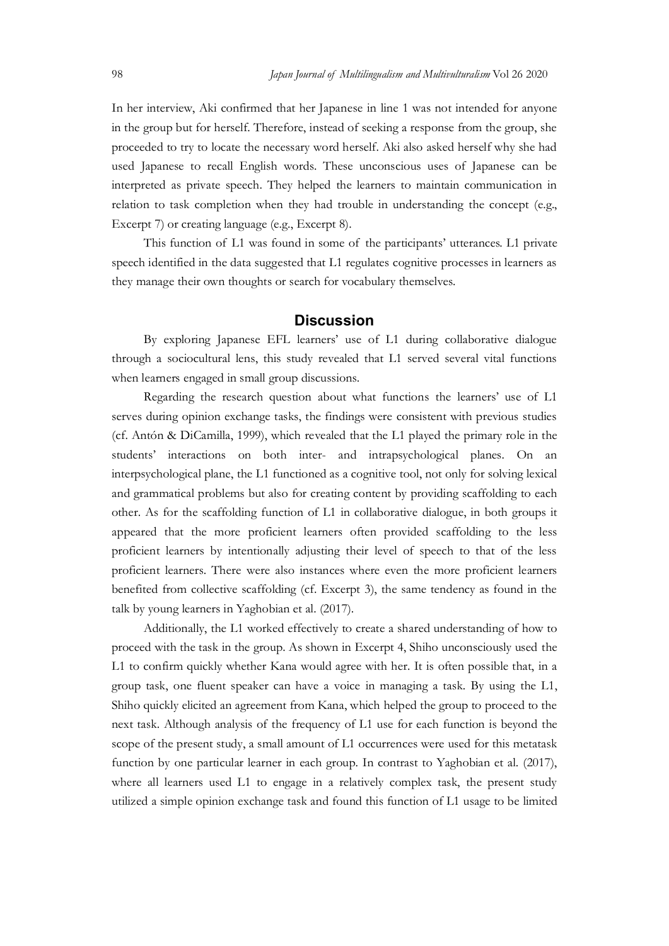Japan Journal of Multilingualism and Multivulturalism Vol 26 2020<br>
In her interview, Aki confirmed that her Japanese in line 1 was not intended for anyone<br>
in the group but for herself. Therefore, instead of seeking a resp In her interview, Aki confirmed that her Japanese in line 1 was not intended for anyone in the group but for herself. Therefore, instead of seeking a response from the group, she proceeded to try to locate the necessary word herself. Aki also asked herself why she had used Japanese to recall English words. These unconscious uses of Japanese can be interpreted as private speech. They helped the learners to maintain communication in relation to task completion when they had trouble in understanding the concept (e.g., Excerpt 7) or creating language (e.g., Excerpt 8). Japan Journal of Multilingualism and Multinuluralism Vol 26 2020<br>interview, Aki confirmed that her Japanese in line 1 was not intended for anyone<br>group but for herself. Therefore, instead of seeking a response from the gro

speech identified in the data suggested that L1 regulates cognitive processes in learners as they manage their own thoughts or search for vocabulary themselves.

#### **Discussion**

By exploring Japanese EFL learners' use of L1 during collaborative dialogue through a sociocultural lens, this study revealed that L1 served several vital functions when learners engaged in small group discussions.

Regarding the research question about what functions the learners' use of L1 serves during opinion exchange tasks, the findings were consistent with previous studies (cf. Antón & DiCamilla, 1999), which revealed that the L1 played the primary role in the students' interactions on both inter- and intrapsychological planes. On an interpsychological plane, the L1 functioned as a cognitive tool, not only for solving lexical and grammatical problems but also for creating content by providing scaffolding to each other. As for the scaffolding function of L1 in collaborative dialogue, in both groups it appeared that the more proficient learners often provided scaffolding to the less proficient learners by intentionally adjusting their level of speech to that of the less proficient learners. There were also instances where even the more proficient learners benefited from collective scaffolding (cf. Excerpt 3), the same tendency as found in the talk by young learners in Yaghobian et al. (2017).

Additionally, the L1 worked effectively to create a shared understanding of how to proceed with the task in the group. As shown in Excerpt 4, Shiho unconsciously used the L1 to confirm quickly whether Kana would agree with her. It is often possible that, in a group task, one fluent speaker can have a voice in managing a task. By using the L1, Shiho quickly elicited an agreement from Kana, which helped the group to proceed to the next task. Although analysis of the frequency of L1 use for each function is beyond the scope of the present study, a small amount of L1 occurrences were used for this metatask function by one particular learner in each group. In contrast to Yaghobian et al. (2017), where all learners used L1 to engage in a relatively complex task, the present study utilized a simple opinion exchange task and found this function of L1 usage to be limited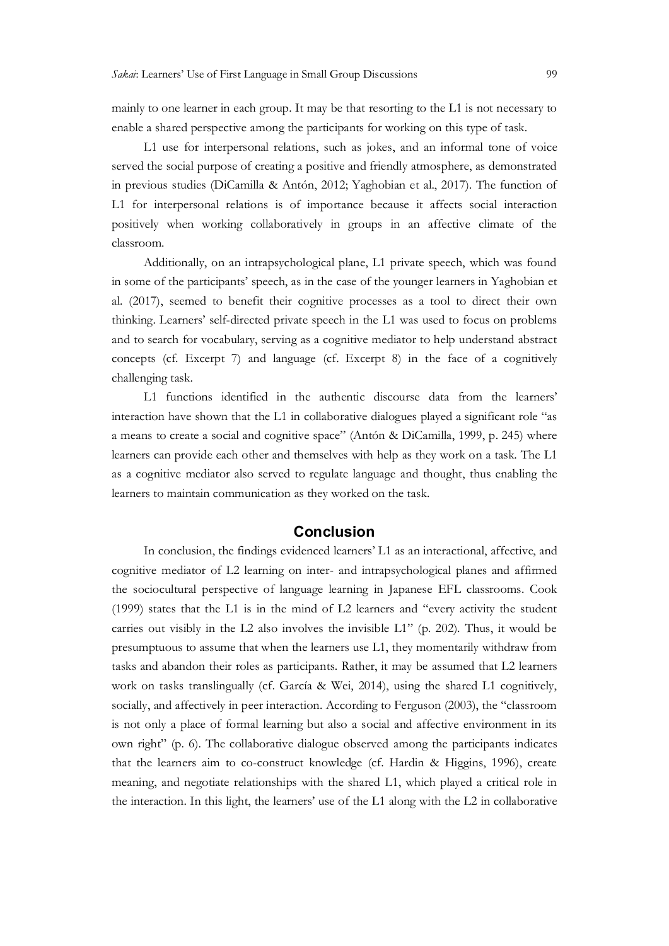mainly to one learner in each group. It may be that resorting to the L1 is not necessary to enable a shared perspective among the participants for working on this type of task.

L1 use for interpersonal relations, such as jokes, and an informal tone of voice served the social purpose of creating a positive and friendly atmosphere, as demonstrated in previous studies (DiCamilla & Antón, 2012; Yaghobian et al., 2017). The function of L1 for interpersonal relations is of importance because it affects social interaction positively when working collaboratively in groups in an affective climate of the classroom.

Additionally, on an intrapsychological plane, L1 private speech, which was found in some of the participants' speech, as in the case of the younger learners in Yaghobian et al. (2017), seemed to benefit their cognitive processes as a tool to direct their own thinking. Learners' self-directed private speech in the L1 was used to focus on problems and to search for vocabulary, serving as a cognitive mediator to help understand abstract concepts (cf. Excerpt 7) and language (cf. Excerpt 8) in the face of a cognitively challenging task.

L1 functions identified in the authentic discourse data from the learners' interaction have shown that the L1 in collaborative dialogues played a significant role "as a means to create a social and cognitive space" (Antón & DiCamilla, 1999, p. 245) where learners can provide each other and themselves with help as they work on a task. The L1 as a cognitive mediator also served to regulate language and thought, thus enabling the learners to maintain communication as they worked on the task.

#### Conclusion

In conclusion, the findings evidenced learners' L1 as an interactional, affective, and cognitive mediator of L2 learning on inter- and intrapsychological planes and affirmed the sociocultural perspective of language learning in Japanese EFL classrooms. Cook (1999) states that the L1 is in the mind of L2 learners and "every activity the student carries out visibly in the L2 also involves the invisible L1" (p. 202). Thus, it would be presumptuous to assume that when the learners use L1, they momentarily withdraw from tasks and abandon their roles as participants. Rather, it may be assumed that L2 learners work on tasks translingually (cf. García & Wei, 2014), using the shared L1 cognitively, socially, and affectively in peer interaction. According to Ferguson (2003), the "classroom is not only a place of formal learning but also a social and affective environment in its own right" (p. 6). The collaborative dialogue observed among the participants indicates that the learners aim to co-construct knowledge (cf. Hardin & Higgins, 1996), create meaning, and negotiate relationships with the shared L1, which played a critical role in the interaction. In this light, the learners' use of the L1 along with the L2 in collaborative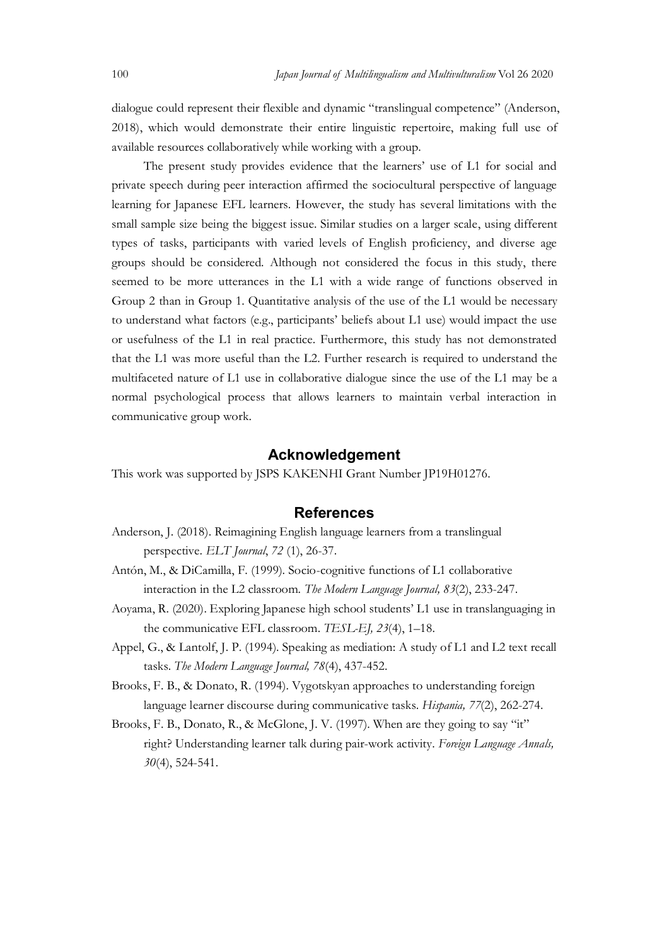Japan Journal of Multilingualism and Multivulturalism Vol 26 2020<br>
dialogue could represent their flexible and dynamic "translingual competence" (Anderson,<br>
2018), which would demonstrate their entire linguistic repertoire dialogue could represent their flexible and dynamic "translingual competence" (Anderson, 2018), which would demonstrate their entire linguistic repertoire, making full use of available resources collaboratively while working with a group.

The present study provides evidence that the learners' use of L1 for social and private speech during peer interaction affirmed the sociocultural perspective of language learning for Japanese EFL learners. However, the study has several limitations with the small sample size being the biggest issue. Similar studies on a larger scale, using different types of tasks, participants with varied levels of English proficiency, and diverse age groups should be considered. Although not considered the focus in this study, there seemed to be more utterances in the L1 with a wide range of functions observed in Group 2 than in Group 1. Quantitative analysis of the use of the L1 would be necessary to understand what factors (e.g., participants' beliefs about L1 use) would impact the use or usefulness of the L1 in real practice. Furthermore, this study has not demonstrated that the L1 was more useful than the L2. Further research is required to understand the multifaceted nature of L1 use in collaborative dialogue since the use of the L1 may be a normal psychological process that allows learners to maintain verbal interaction in communicative group work.

#### Acknowledgement

This work was supported by JSPS KAKENHI Grant Number JP19H01276.

#### References

- Anderson, J. (2018). Reimagining English language learners from a translingual perspective. ELT Journal, 72 (1), 26-37.
- Antón, M., & DiCamilla, F. (1999). Socio-cognitive functions of L1 collaborative interaction in the L2 classroom. The Modern Language Journal, 83(2), 233-247.
- Aoyama, R. (2020). Exploring Japanese high school students' L1 use in translanguaging in the communicative EFL classroom. TESL-EJ, 23(4), 1–18.
- Appel, G., & Lantolf, J. P. (1994). Speaking as mediation: A study of L1 and L2 text recall tasks. The Modern Language Journal, 78(4), 437-452.
- Brooks, F. B., & Donato, R. (1994). Vygotskyan approaches to understanding foreign language learner discourse during communicative tasks. Hispania, 77(2), 262-274.
- Brooks, F. B., Donato, R., & McGlone, J. V. (1997). When are they going to say "it" right? Understanding learner talk during pair-work activity. Foreign Language Annals, 30(4), 524-541.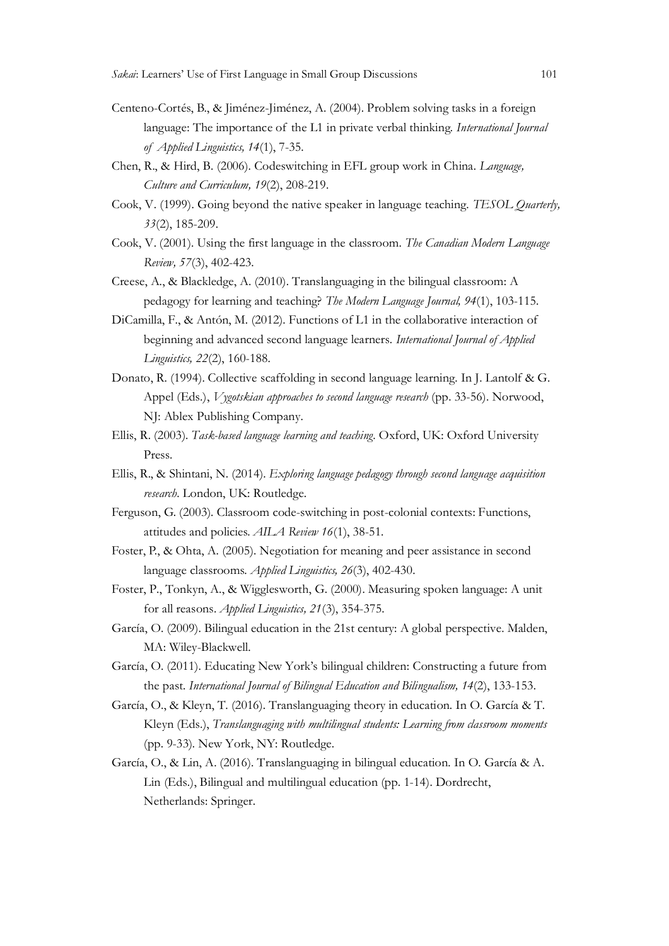- Centeno-Cortés, B., & Jiménez-Jiménez, A. (2004). Problem solving tasks in a foreign Learners' Use of First Language in Small Group Discussions<br>
101<br>
10-Cortés, B., & Jiménez-Jiménez, A. (2004). Problem solving tasks in a foreign<br>
language: The importance of the L1 in private verbal thinking. *Internationa* Learners' Use of First Language in Small Group Discussions<br>no-Cortés, B., & Jiménez-Jiménez, A. (2004). Problem solving tasks in a fore<br>language: The importance of the L1 in private verbal thinking. *International Jof*<br>*Ap*
- Chen, R., & Hird, B. (2006). Codeswitching in EFL group work in China. Language, Culture and Curriculum, 19(2), 208-219.
- Cook, V. (1999). Going beyond the native speaker in language teaching. TESOL Quarterly, 33(2), 185-209.
- Cook, V. (2001). Using the first language in the classroom. The Canadian Modern Language Review, 57(3), 402-423.
- Creese, A., & Blackledge, A. (2010). Translanguaging in the bilingual classroom: A pedagogy for learning and teaching? The Modern Language Journal, 94(1), 103-115.
- DiCamilla, F., & Antón, M. (2012). Functions of L1 in the collaborative interaction of beginning and advanced second language learners. International Journal of Applied Linguistics, 22(2), 160-188.
- Donato, R. (1994). Collective scaffolding in second language learning. In J. Lantolf & G. Appel (Eds.), *Vygotskian approaches to second language research* (pp. 33-56). Norwood, NJ: Ablex Publishing Company.
- Ellis, R. (2003). Task-based language learning and teaching. Oxford, UK: Oxford University Press.
- Ellis, R., & Shintani, N. (2014). Exploring language pedagogy through second language acquisition research. London, UK: Routledge.
- Ferguson, G. (2003). Classroom code-switching in post-colonial contexts: Functions, attitudes and policies. AILA Review 16(1), 38-51.
- Foster, P., & Ohta, A. (2005). Negotiation for meaning and peer assistance in second language classrooms. Applied Linguistics, 26(3), 402-430.
- Foster, P., Tonkyn, A., & Wigglesworth, G. (2000). Measuring spoken language: A unit for all reasons. Applied Linguistics, 21(3), 354-375.
- García, O. (2009). Bilingual education in the 21st century: A global perspective. Malden, MA: Wiley-Blackwell.
- García, O. (2011). Educating New York's bilingual children: Constructing a future from the past. International Journal of Bilingual Education and Bilingualism, 14(2), 133-153.
- García, O., & Kleyn, T. (2016). Translanguaging theory in education. In O. García & T. Kleyn (Eds.), Translanguaging with multilingual students: Learning from classroom moments (pp. 9-33). New York, NY: Routledge.
- García, O., & Lin, A. (2016). Translanguaging in bilingual education. In O. García & A. Lin (Eds.), Bilingual and multilingual education (pp. 1-14). Dordrecht, Netherlands: Springer.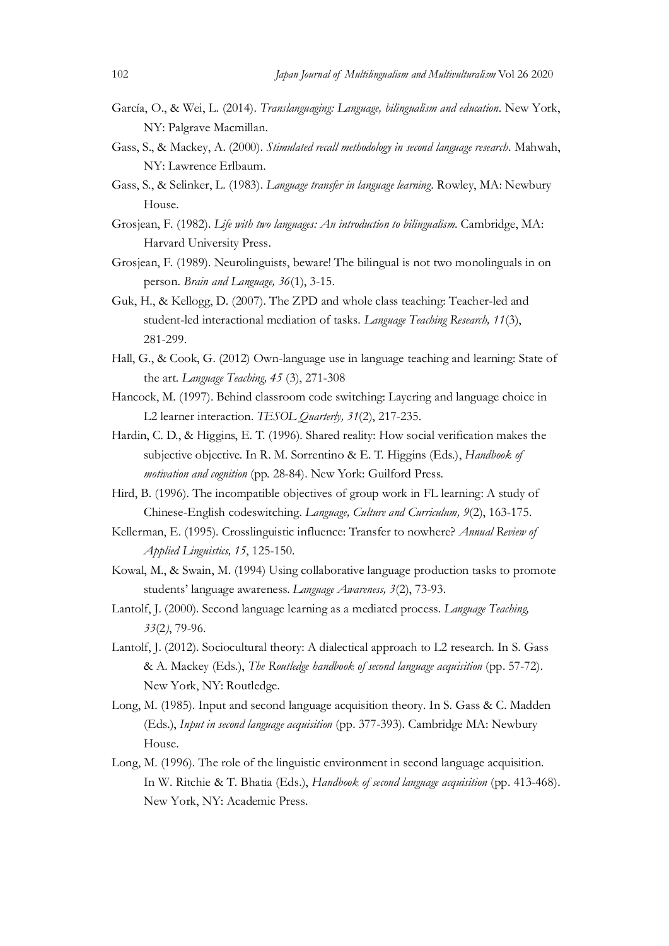- Japan Journal of Multilingualism and Multivulturalism Vol 26 2020<br>García, O., & Wei, L. (2014). *Translanguaging: Language, bilingualism and education*. New York,<br>NY: Palgrave Macmillan.<br>Gass, S., & Mackey, A. (2000). *Sti* García, O., & Wei, L. (2014). Translanguaging: Language, bilingualism and education. New York, NY: Palgrave Macmillan.
- Gass, S., & Mackey, A. (2000). Stimulated recall methodology in second language research. Mahwah, NY: Lawrence Erlbaum.
- Gass, S., & Selinker, L. (1983). Language transfer in language learning. Rowley, MA: Newbury House.
- Grosjean, F. (1982). Life with two languages: An introduction to bilingualism. Cambridge, MA: Harvard University Press.
- Grosjean, F. (1989). Neurolinguists, beware! The bilingual is not two monolinguals in on person. Brain and Language, 36(1), 3-15.
- Guk, H., & Kellogg, D. (2007). The ZPD and whole class teaching: Teacher-led and student-led interactional mediation of tasks. Language Teaching Research, 11(3), 281-299.
- Hall, G., & Cook, G. (2012) Own-language use in language teaching and learning: State of the art. Language Teaching, 45 (3), 271-308
- Hancock, M. (1997). Behind classroom code switching: Layering and language choice in L2 learner interaction. TESOL Quarterly, 31(2), 217-235.
- Hardin, C. D., & Higgins, E. T. (1996). Shared reality: How social verification makes the S., & Selinker, L. (1983). *Language transier in language karning*. Rowley, MA: Newbury<br>House.<br>
Haran, F. (1982). *Life with two languages: An introduction to bilingualism*. Cambridge, MA:<br>
Hararat University Press.<br>
281-2 motivation and cognition (pp. 28-84). New York: Guilford Press. Grosjean, F. (1989). Neurolinguists, bewarel The bilingual is not two monolinguals in on<br>
cross *Brianal 1 anguage*,  $56(1)$ , 3-15.<br>
Grok, H., & Kellogg, D. (2007). The ZPD and whole class teaching: Teacher-led and<br>
suden
- Hird, B. (1996). The incompatible objectives of group work in FL learning: A study of Chinese-English codeswitching. Language, Culture and Curriculum, 9(2), 163-175.
- Applied Linguistics, 15, 125-150.
- Kowal, M., & Swain, M. (1994) Using collaborative language production tasks to promote students' language awareness. Language Awareness, 3(2), 73-93.
- Lantolf, J. (2000). Second language learning as a mediated process. Language Teaching, 33(2), 79-96.
- Lantolf, J. (2012). Sociocultural theory: A dialectical approach to L2 research. In S. Gass & A. Mackey (Eds.), The Routledge handbook of second language acquisition (pp. 57-72). New York, NY: Routledge.
- Long, M. (1985). Input and second language acquisition theory. In S. Gass & C. Madden (Eds.), Input in second language acquisition (pp. 377-393). Cambridge MA: Newbury House.
- Long, M. (1996). The role of the linguistic environment in second language acquisition. In W. Ritchie & T. Bhatia (Eds.), Handbook of second language acquisition (pp. 413-468). New York, NY: Academic Press.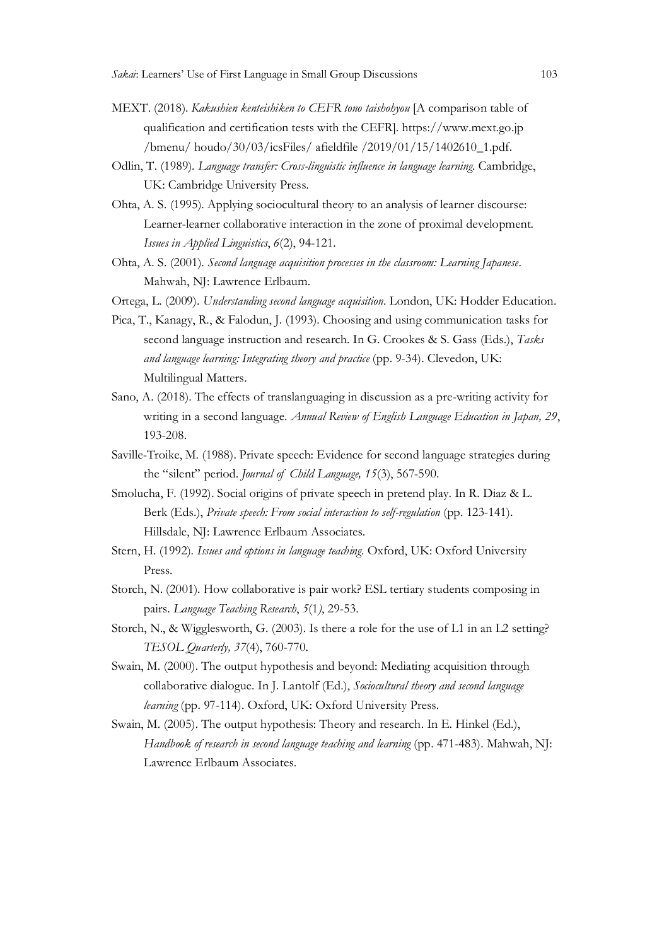- MEXT. (2018). Kakushien kenteishiken to CEFR tono taishohyou [A comparison table of qualification and certification tests with the CEFR]. https://www.mext.go.jp /bmenu/ houdo/30/03/icsFiles/ afieldfile /2019/01/15/1402610\_1.pdf.
- Odlin, T. (1989). Language transfer: Cross-linguistic influence in language learning. Cambridge, UK: Cambridge University Press.
- Ohta, A. S. (1995). Applying sociocultural theory to an analysis of learner discourse: Learner-learner collaborative interaction in the zone of proximal development. Issues in Applied Linguistics, 6(2), 94-121.
- Ohta, A. S. (2001). Second language acquisition processes in the classroom: Learning Japanese. Mahwah, NJ: Lawrence Erlbaum.
- Ortega, L. (2009). Understanding second language acquisition. London, UK: Hodder Education.
- Pica, T., Kanagy, R., & Falodun, J. (1993). Choosing and using communication tasks for second language instruction and research. In G. Crookes & S. Gass (Eds.), Tasks and language learning: Integrating theory and practice (pp. 9-34). Clevedon, UK: Multilingual Matters. A. S. (1995). Applying sociocultural theory to an analysis of learner discourse:<br>Learner-learner collaborative interaction in the zone of proximal development.<br>Izuze: in Applied Language, access by 49-121.<br>A. S. (2001). *S*
- Sano, A. (2018). The effects of translanguaging in discussion as a pre-writing activity for writing in a second language. Annual Review of English Language Education in Japan, 29, 193-208.
- Saville-Troike, M. (1988). Private speech: Evidence for second language strategies during
- Smolucha, F. (1992). Social origins of private speech in pretend play. In R. Diaz & L. Berk (Eds.), Private speech: From social interaction to self-regulation (pp. 123-141). Hillsdale, NJ: Lawrence Erlbaum Associates.
- Stern, H. (1992). Issues and options in language teaching. Oxford, UK: Oxford University Press.
- Storch, N. (2001). How collaborative is pair work? ESL tertiary students composing in pairs. Language Teaching Research, 5(1), 29-53.
- Storch, N., & Wigglesworth, G. (2003). Is there a role for the use of L1 in an L2 setting? TESOL Quarterly, 37(4), 760-770.
- Swain, M. (2000). The output hypothesis and beyond: Mediating acquisition through collaborative dialogue. In J. Lantolf (Ed.), Sociocultural theory and second language learning (pp. 97-114). Oxford, UK: Oxford University Press.
- Swain, M. (2005). The output hypothesis: Theory and research. In E. Hinkel (Ed.), Handbook of research in second language teaching and learning (pp. 471-483). Mahwah, NJ: Lawrence Erlbaum Associates.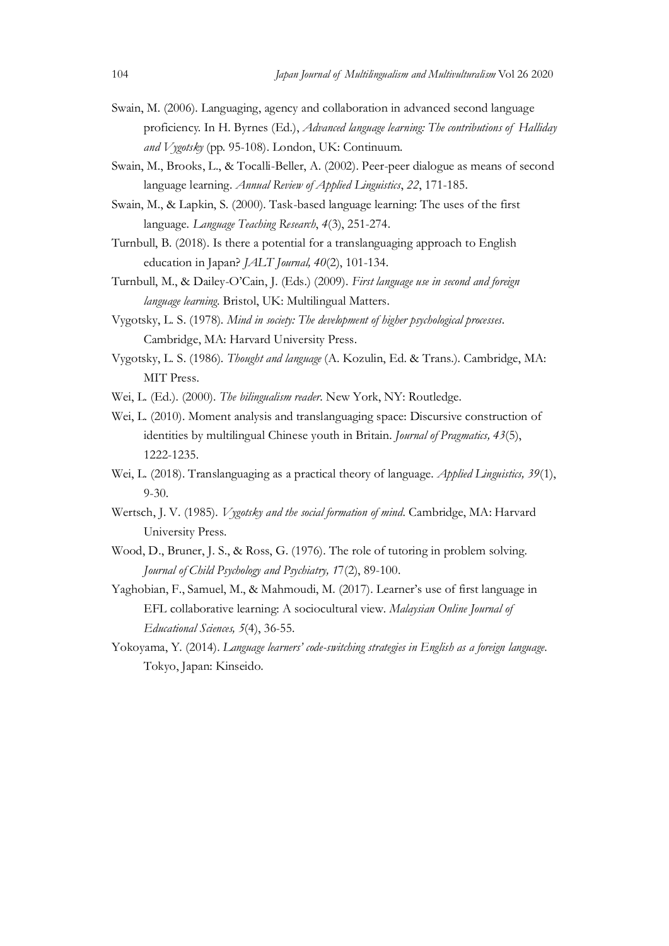- Japan Journal of Multilingualism and Multivulturalism Vol 26 2020<br>Swain, M. (2006). Languaging, agency and collaboration in advanced second language<br>proficiency. In H. Byrnes (Ed.), *Advanced language learning: The contrib* Swain, M. (2006). Languaging, agency and collaboration in advanced second language Japan Journal of Multilingualism and Multivulturalism Vol 26 2020<br>M. (2006). Languaging, agency and collaboration in advanced second language<br>proficiency. In H. Byrnes (Ed.), *Advanced language learning: The contributions* and Vygotsky (pp. 95-108). London, UK: Continuum.
- Swain, M., Brooks, L., & Tocalli-Beller, A. (2002). Peer-peer dialogue as means of second language learning. Annual Review of Applied Linguistics, 22, 171-185.
- Swain, M., & Lapkin, S. (2000). Task-based language learning: The uses of the first language. Language Teaching Research, 4(3), 251-274.
- Turnbull, B. (2018). Is there a potential for a translanguaging approach to English education in Japan? JALT Journal, 40(2), 101-134.
- Turnbull, M., & Dailey-O'Cain, J. (Eds.) (2009). First language use in second and foreign language learning. Bristol, UK: Multilingual Matters.
- Vygotsky, L. S. (1978). Mind in society: The development of higher psychological processes. Cambridge, MA: Harvard University Press.
- Vygotsky, L. S. (1986). Thought and language (A. Kozulin, Ed. & Trans.). Cambridge, MA: MIT Press.
- Wei, L. (Ed.). (2000). The bilingualism reader. New York, NY: Routledge.
- Wei, L. (2010). Moment analysis and translanguaging space: Discursive construction of identities by multilingual Chinese youth in Britain. Journal of Pragmatics, 43(5), 1222-1235.
- Wei, L. (2018). Translanguaging as a practical theory of language. *Applied Linguistics*, 39(1), 9-30.
- Wertsch, J. V. (1985). *Vygotsky and the social formation of mind*. Cambridge, MA: Harvard University Press.
- Wood, D., Bruner, J. S., & Ross, G. (1976). The role of tutoring in problem solving. Journal of Child Psychology and Psychiatry, 17(2), 89-100.
- Yaghobian, F., Samuel, M., & Mahmoudi, M. (2017). Learner's use of first language in EFL collaborative learning: A sociocultural view. Malaysian Online Journal of Educational Sciences, 5(4), 36-55.
- Yokoyama, Y. (2014). Language learners' code-switching strategies in English as a foreign language. Tokyo, Japan: Kinseido.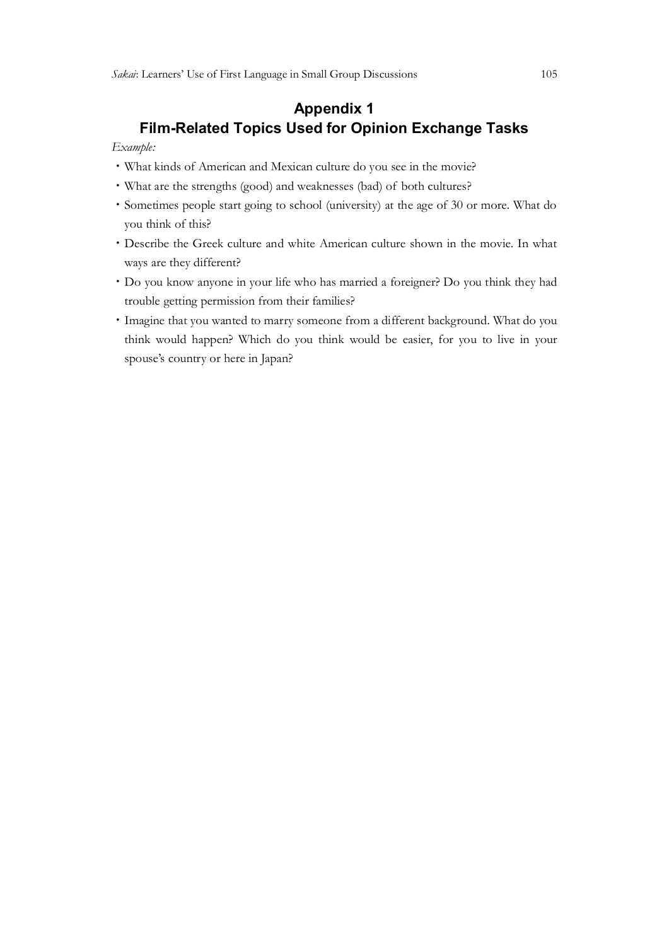### Appendix 1 Film-Related Topics Used for Opinion Exchange Tasks

#### Example:

- ・What kinds of American and Mexican culture do you see in the movie?
- ・What are the strengths (good) and weaknesses (bad) of both cultures?
- ・Sometimes people start going to school (university) at the age of 30 or more. What do you think of this?
- ・Describe the Greek culture and white American culture shown in the movie. In what ways are they different?
- ・Do you know anyone in your life who has married a foreigner? Do you think they had trouble getting permission from their families?
- ・Imagine that you wanted to marry someone from a different background. What do you think would happen? Which do you think would be easier, for you to live in your spouse's country or here in Japan?